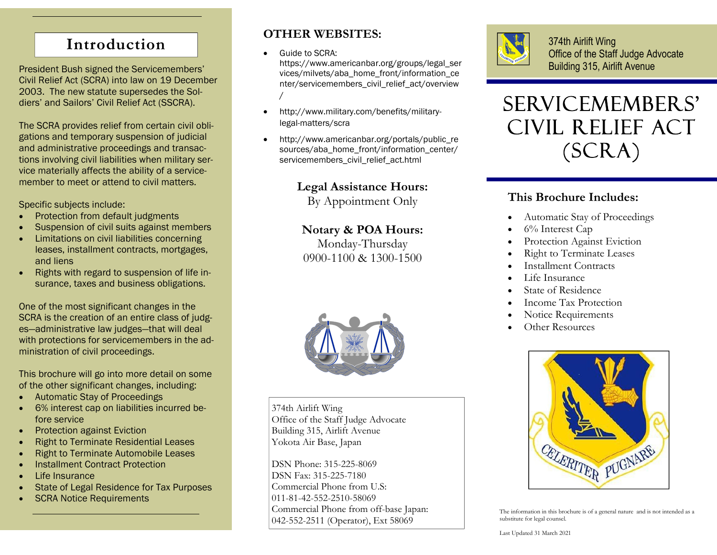# **Introduction**

President Bush signed the Servicemembers' Civil Relief Act (SCRA) into law on 19 December 2003. The new statute supersedes the Soldiers' and Sailors' Civil Relief Act (SSCRA).

The SCRA provides relief from certain civil obligations and temporary suspension of judicial and administrative proceedings and transactions involving civil liabilities when military service materially affects the ability of a servicemember to meet or attend to civil matters.

Specific subjects include:

- $\bullet$ Protection from default judgments
- $\bullet$ Suspension of civil suits against members
- $\bullet$  Limitations on civil liabilities concerning leases, installment contracts, mortgages, and liens
- $\bullet$  Rights with regard to suspension of life insurance, taxes and business obligations.

One of the most significant changes in the SCRA is the creation of an entire class of judges—administrative law judges—that will deal with protections for servicemembers in the administration of civil proceedings.

This brochure will go into more detail on some of the other significant changes, including:

- $\bullet$ Automatic Stay of Proceedings
- $\bullet$  6% interest cap on liabilities incurred before service
- $\bullet$ Protection against Eviction
- $\bullet$ Right to Terminate Residential Leases
- $\bullet$ Right to Terminate Automobile Leases
- $\bullet$ Installment Contract Protection
- $\bullet$ Life Insurance
- $\bullet$ State of Legal Residence for Tax Purposes
- $\bullet$ SCRA Notice Requirements

# **OTHER WEBSITES:**

 $\bullet$ Guide to SCRA:

https://www.americanbar.org/groups/legal\_ser vices/milvets/aba\_home\_front/information\_ce nter/servicemembers\_civil\_relief\_act/overview /

- $\bullet$  http://www.military.com/benefits/militarylegal-matters/scra
- $\bullet$ http://www.americanbar.org/portals/public\_re sources/aba\_home\_front/information\_center/ servicemembers\_civil\_relief\_act.html

**Legal Assistance Hours:** 

By Appointment Only

# **Notary & POA Hours:**

Monday-Thursday 0900-1100 & 1300-1500



374th Airlift Wing Office of the Staff Judge Advocate Building 315, Airlift Avenue Yokota Air Base, Japan

DSN Phone: 315-225-8069 DSN Fax: 315-225-7180 Commercial Phone from U.S: 011-81-42-552-2510-58069 Commercial Phone from off-base Japan: 042-552-2511 (Operator), Ext 58069



374th Airlift Wing Office of the Staff Judge Advocate Building 315, Airlift Avenue



# **This Brochure Includes:**

- $\bullet$ Automatic Stay of Proceedings
- $\bullet$ 6% Interest Cap
- $\bullet$ Protection Against Eviction
- $\bullet$ Right to Terminate Leases
- $\bullet$ Installment Contracts
- $\bullet$ Life Insurance
- $\bullet$ State of Residence
- $\bullet$ Income Tax Protection
- $\bullet$ Notice Requirements
- $\bullet$ Other Resources



The information in this brochure is of a general nature and is not intended as a substitute for legal counsel.